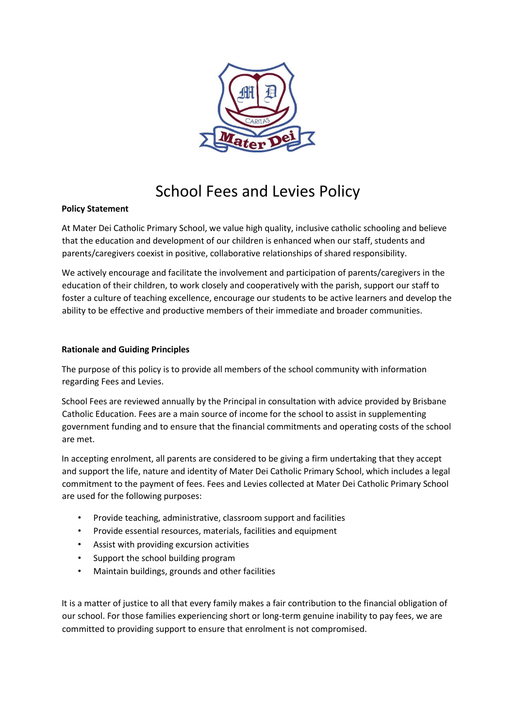

# School Fees and Levies Policy

#### **Policy Statement**

At Mater Dei Catholic Primary School, we value high quality, inclusive catholic schooling and believe that the education and development of our children is enhanced when our staff, students and parents/caregivers coexist in positive, collaborative relationships of shared responsibility.

We actively encourage and facilitate the involvement and participation of parents/caregivers in the education of their children, to work closely and cooperatively with the parish, support our staff to foster a culture of teaching excellence, encourage our students to be active learners and develop the ability to be effective and productive members of their immediate and broader communities.

#### **Rationale and Guiding Principles**

The purpose of this policy is to provide all members of the school community with information regarding Fees and Levies.

School Fees are reviewed annually by the Principal in consultation with advice provided by Brisbane Catholic Education. Fees are a main source of income for the school to assist in supplementing government funding and to ensure that the financial commitments and operating costs of the school are met.

In accepting enrolment, all parents are considered to be giving a firm undertaking that they accept and support the life, nature and identity of Mater Dei Catholic Primary School, which includes a legal commitment to the payment of fees. Fees and Levies collected at Mater Dei Catholic Primary School are used for the following purposes:

- Provide teaching, administrative, classroom support and facilities
- Provide essential resources, materials, facilities and equipment
- Assist with providing excursion activities
- Support the school building program
- Maintain buildings, grounds and other facilities

It is a matter of justice to all that every family makes a fair contribution to the financial obligation of our school. For those families experiencing short or long-term genuine inability to pay fees, we are committed to providing support to ensure that enrolment is not compromised.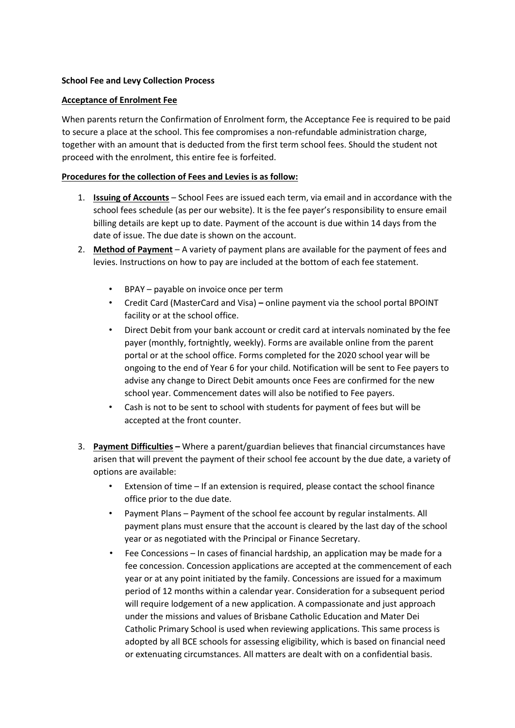#### **School Fee and Levy Collection Process**

#### **Acceptance of Enrolment Fee**

When parents return the Confirmation of Enrolment form, the Acceptance Fee is required to be paid to secure a place at the school. This fee compromises a non-refundable administration charge, together with an amount that is deducted from the first term school fees. Should the student not proceed with the enrolment, this entire fee is forfeited.

#### **Procedures for the collection of Fees and Levies is as follow:**

- 1. **Issuing of Accounts** School Fees are issued each term, via email and in accordance with the school fees schedule (as per our website). It is the fee payer's responsibility to ensure email billing details are kept up to date. Payment of the account is due within 14 days from the date of issue. The due date is shown on the account.
- 2. **Method of Payment** A variety of payment plans are available for the payment of fees and levies. Instructions on how to pay are included at the bottom of each fee statement.
	- BPAY payable on invoice once per term
	- Credit Card (MasterCard and Visa) **–** online payment via the school portal BPOINT facility or at the school office.
	- Direct Debit from your bank account or credit card at intervals nominated by the fee payer (monthly, fortnightly, weekly). Forms are available online from the parent portal or at the school office. Forms completed for the 2020 school year will be ongoing to the end of Year 6 for your child. Notification will be sent to Fee payers to advise any change to Direct Debit amounts once Fees are confirmed for the new school year. Commencement dates will also be notified to Fee payers.
	- Cash is not to be sent to school with students for payment of fees but will be accepted at the front counter.
- 3. **Payment Difficulties –** Where a parent/guardian believes that financial circumstances have arisen that will prevent the payment of their school fee account by the due date, a variety of options are available:
	- Extension of time If an extension is required, please contact the school finance office prior to the due date.
	- Payment Plans Payment of the school fee account by regular instalments. All payment plans must ensure that the account is cleared by the last day of the school year or as negotiated with the Principal or Finance Secretary.
	- Fee Concessions In cases of financial hardship, an application may be made for a fee concession. Concession applications are accepted at the commencement of each year or at any point initiated by the family. Concessions are issued for a maximum period of 12 months within a calendar year. Consideration for a subsequent period will require lodgement of a new application. A compassionate and just approach under the missions and values of Brisbane Catholic Education and Mater Dei Catholic Primary School is used when reviewing applications. This same process is adopted by all BCE schools for assessing eligibility, which is based on financial need or extenuating circumstances. All matters are dealt with on a confidential basis.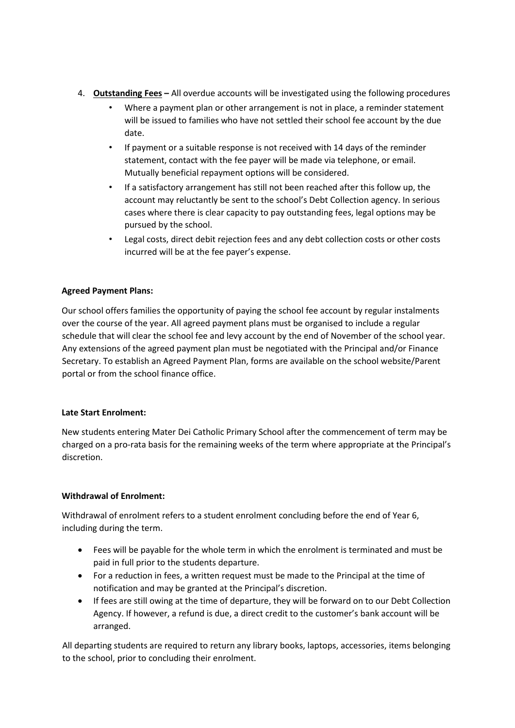- 4. **Outstanding Fees –** All overdue accounts will be investigated using the following procedures
	- Where a payment plan or other arrangement is not in place, a reminder statement will be issued to families who have not settled their school fee account by the due date.
	- If payment or a suitable response is not received with 14 days of the reminder statement, contact with the fee payer will be made via telephone, or email. Mutually beneficial repayment options will be considered.
	- If a satisfactory arrangement has still not been reached after this follow up, the account may reluctantly be sent to the school's Debt Collection agency. In serious cases where there is clear capacity to pay outstanding fees, legal options may be pursued by the school.
	- Legal costs, direct debit rejection fees and any debt collection costs or other costs incurred will be at the fee payer's expense.

# **Agreed Payment Plans:**

Our school offers families the opportunity of paying the school fee account by regular instalments over the course of the year. All agreed payment plans must be organised to include a regular schedule that will clear the school fee and levy account by the end of November of the school year. Any extensions of the agreed payment plan must be negotiated with the Principal and/or Finance Secretary. To establish an Agreed Payment Plan, forms are available on the school website/Parent portal or from the school finance office.

## **Late Start Enrolment:**

New students entering Mater Dei Catholic Primary School after the commencement of term may be charged on a pro-rata basis for the remaining weeks of the term where appropriate at the Principal's discretion.

## **Withdrawal of Enrolment:**

Withdrawal of enrolment refers to a student enrolment concluding before the end of Year 6, including during the term.

- Fees will be payable for the whole term in which the enrolment is terminated and must be paid in full prior to the students departure.
- For a reduction in fees, a written request must be made to the Principal at the time of notification and may be granted at the Principal's discretion.
- If fees are still owing at the time of departure, they will be forward on to our Debt Collection Agency. If however, a refund is due, a direct credit to the customer's bank account will be arranged.

All departing students are required to return any library books, laptops, accessories, items belonging to the school, prior to concluding their enrolment.